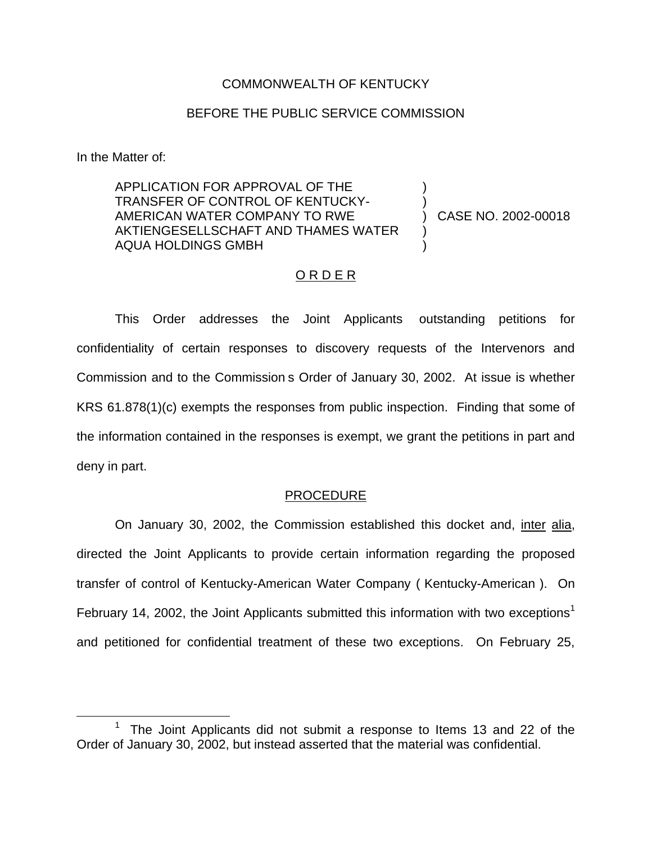#### COMMONWEALTH OF KENTUCKY

### BEFORE THE PUBLIC SERVICE COMMISSION

In the Matter of:

APPLICATION FOR APPROVAL OF THE TRANSFER OF CONTROL OF KENTUCKY-AMERICAN WATER COMPANY TO RWE AKTIENGESELLSCHAFT AND THAMES WATER AQUA HOLDINGS GMBH ) ) ) )

) CASE NO. 2002-00018

### ORDER

This Order addresses the Joint Applicants outstanding petitions for confidentiality of certain responses to discovery requests of the Intervenors and Commission and to the Commission s Order of January 30, 2002. At issue is whether KRS 61.878(1)(c) exempts the responses from public inspection. Finding that some of the information contained in the responses is exempt, we grant the petitions in part and deny in part.

#### PROCEDURE

On January 30, 2002, the Commission established this docket and, inter alia, directed the Joint Applicants to provide certain information regarding the proposed transfer of control of Kentucky-American Water Company ( Kentucky-American ). On February 14, 2002, the Joint Applicants submitted this information with two exceptions<sup>1</sup> and petitioned for confidential treatment of these two exceptions. On February 25,

The Joint Applicants did not submit a response to Items 13 and 22 of the Order of January 30, 2002, but instead asserted that the material was confidential.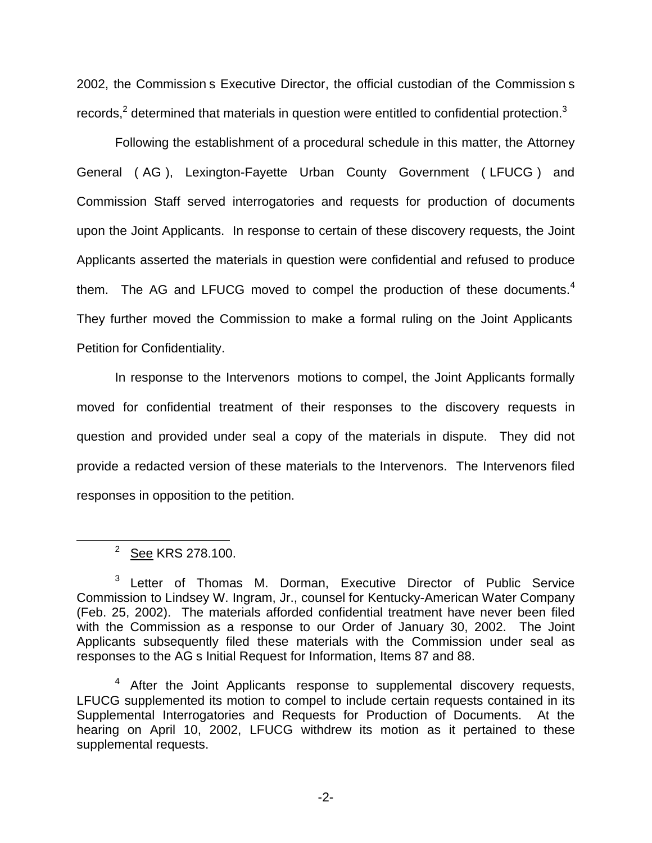2002, the Commission s Executive Director, the official custodian of the Commission s records, $2$  determined that materials in question were entitled to confidential protection.<sup>3</sup>

Following the establishment of a procedural schedule in this matter, the Attorney General ( AG ), Lexington-Fayette Urban County Government ( LFUCG ) and Commission Staff served interrogatories and requests for production of documents upon the Joint Applicants. In response to certain of these discovery requests, the Joint Applicants asserted the materials in question were confidential and refused to produce them. The AG and LFUCG moved to compel the production of these documents. $4$ They further moved the Commission to make a formal ruling on the Joint Applicants Petition for Confidentiality.

In response to the Intervenors motions to compel, the Joint Applicants formally moved for confidential treatment of their responses to the discovery requests in question and provided under seal a copy of the materials in dispute. They did not provide a redacted version of these materials to the Intervenors. The Intervenors filed responses in opposition to the petition.

<sup>&</sup>lt;sup>2</sup> See KRS 278.100.

<sup>3</sup> Letter of Thomas M. Dorman, Executive Director of Public Service Commission to Lindsey W. Ingram, Jr., counsel for Kentucky-American Water Company (Feb. 25, 2002). The materials afforded confidential treatment have never been filed with the Commission as a response to our Order of January 30, 2002. The Joint Applicants subsequently filed these materials with the Commission under seal as responses to the AG s Initial Request for Information, Items 87 and 88.

<sup>&</sup>lt;sup>4</sup> After the Joint Applicants response to supplemental discovery requests, LFUCG supplemented its motion to compel to include certain requests contained in its Supplemental Interrogatories and Requests for Production of Documents. At the hearing on April 10, 2002, LFUCG withdrew its motion as it pertained to these supplemental requests.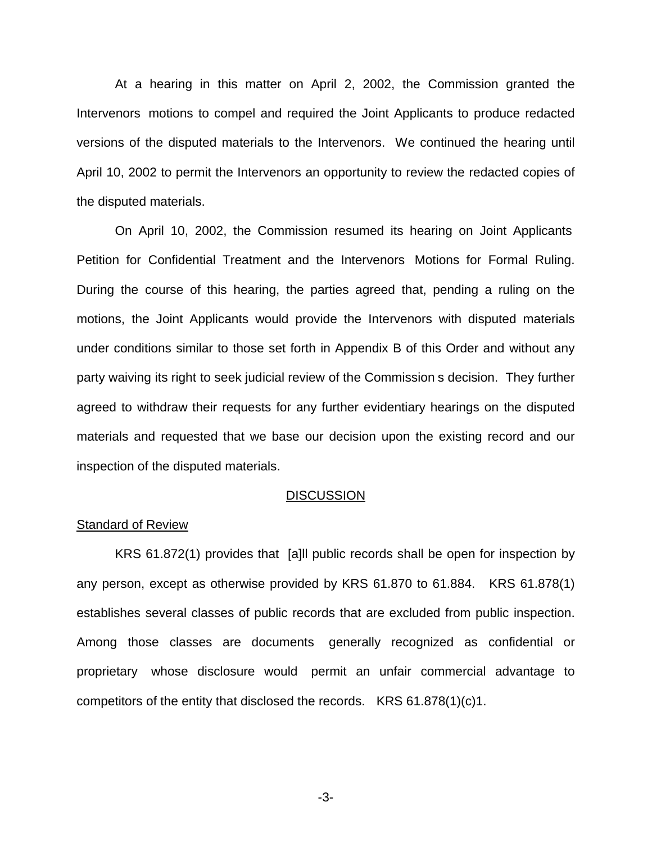At a hearing in this matter on April 2, 2002, the Commission granted the Intervenors motions to compel and required the Joint Applicants to produce redacted versions of the disputed materials to the Intervenors. We continued the hearing until April 10, 2002 to permit the Intervenors an opportunity to review the redacted copies of the disputed materials.

On April 10, 2002, the Commission resumed its hearing on Joint Applicants Petition for Confidential Treatment and the Intervenors Motions for Formal Ruling. During the course of this hearing, the parties agreed that, pending a ruling on the motions, the Joint Applicants would provide the Intervenors with disputed materials under conditions similar to those set forth in Appendix B of this Order and without any party waiving its right to seek judicial review of the Commission s decision. They further agreed to withdraw their requests for any further evidentiary hearings on the disputed materials and requested that we base our decision upon the existing record and our inspection of the disputed materials.

#### **DISCUSSION**

### Standard of Review

KRS 61.872(1) provides that [a]ll public records shall be open for inspection by any person, except as otherwise provided by KRS 61.870 to 61.884. KRS 61.878(1) establishes several classes of public records that are excluded from public inspection. Among those classes are documents generally recognized as confidential or proprietary whose disclosure would permit an unfair commercial advantage to competitors of the entity that disclosed the records. KRS 61.878(1)(c)1.

-3-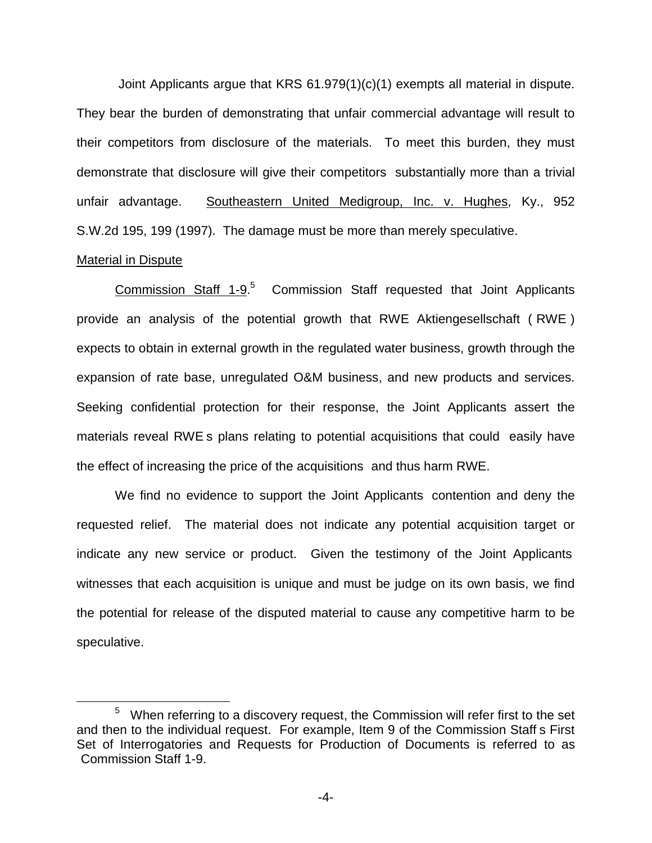Joint Applicants argue that KRS 61.979(1)(c)(1) exempts all material in dispute. They bear the burden of demonstrating that unfair commercial advantage will result to their competitors from disclosure of the materials. To meet this burden, they must demonstrate that disclosure will give their competitors substantially more than a trivial unfair advantage. Southeastern United Medigroup, Inc. v. Hughes, Ky., 952 S.W.2d 195, 199 (1997). The damage must be more than merely speculative.

#### Material in Dispute

Commission Staff  $1-9.5$  Commission Staff requested that Joint Applicants provide an analysis of the potential growth that RWE Aktiengesellschaft ( RWE ) expects to obtain in external growth in the regulated water business, growth through the expansion of rate base, unregulated O&M business, and new products and services. Seeking confidential protection for their response, the Joint Applicants assert the materials reveal RWE s plans relating to potential acquisitions that could easily have the effect of increasing the price of the acquisitions and thus harm RWE.

We find no evidence to support the Joint Applicants contention and deny the requested relief. The material does not indicate any potential acquisition target or indicate any new service or product. Given the testimony of the Joint Applicants witnesses that each acquisition is unique and must be judge on its own basis, we find the potential for release of the disputed material to cause any competitive harm to be speculative.

<sup>5</sup> When referring to a discovery request, the Commission will refer first to the set and then to the individual request. For example, Item 9 of the Commission Staff s First Set of Interrogatories and Requests for Production of Documents is referred to as Commission Staff 1-9.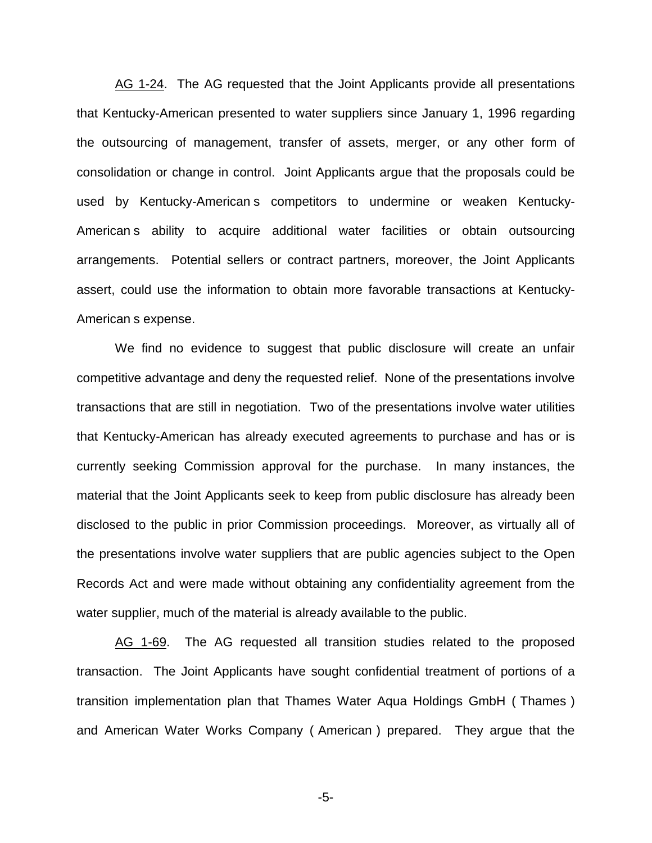AG 1-24. The AG requested that the Joint Applicants provide all presentations that Kentucky-American presented to water suppliers since January 1, 1996 regarding the outsourcing of management, transfer of assets, merger, or any other form of consolidation or change in control. Joint Applicants argue that the proposals could be used by Kentucky-American s competitors to undermine or weaken Kentucky-American s ability to acquire additional water facilities or obtain outsourcing arrangements. Potential sellers or contract partners, moreover, the Joint Applicants assert, could use the information to obtain more favorable transactions at Kentucky-American s expense.

We find no evidence to suggest that public disclosure will create an unfair competitive advantage and deny the requested relief. None of the presentations involve transactions that are still in negotiation. Two of the presentations involve water utilities that Kentucky-American has already executed agreements to purchase and has or is currently seeking Commission approval for the purchase. In many instances, the material that the Joint Applicants seek to keep from public disclosure has already been disclosed to the public in prior Commission proceedings. Moreover, as virtually all of the presentations involve water suppliers that are public agencies subject to the Open Records Act and were made without obtaining any confidentiality agreement from the water supplier, much of the material is already available to the public.

AG 1-69. The AG requested all transition studies related to the proposed transaction. The Joint Applicants have sought confidential treatment of portions of a transition implementation plan that Thames Water Aqua Holdings GmbH ( Thames ) and American Water Works Company ( American ) prepared. They argue that the

-5-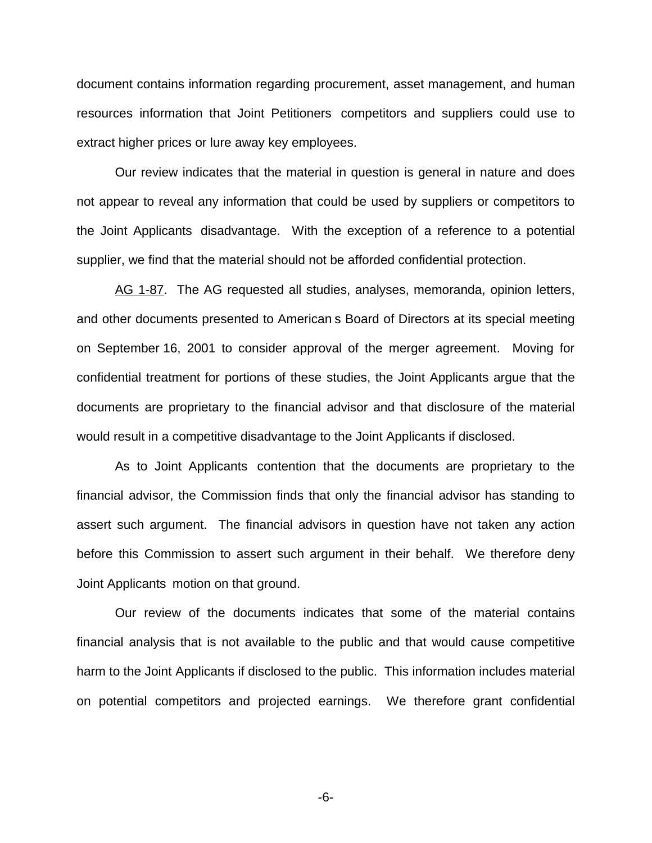document contains information regarding procurement, asset management, and human resources information that Joint Petitioners competitors and suppliers could use to extract higher prices or lure away key employees.

Our review indicates that the material in question is general in nature and does not appear to reveal any information that could be used by suppliers or competitors to the Joint Applicants disadvantage. With the exception of a reference to a potential supplier, we find that the material should not be afforded confidential protection.

AG 1-87. The AG requested all studies, analyses, memoranda, opinion letters, and other documents presented to American s Board of Directors at its special meeting on September 16, 2001 to consider approval of the merger agreement. Moving for confidential treatment for portions of these studies, the Joint Applicants argue that the documents are proprietary to the financial advisor and that disclosure of the material would result in a competitive disadvantage to the Joint Applicants if disclosed.

As to Joint Applicants contention that the documents are proprietary to the financial advisor, the Commission finds that only the financial advisor has standing to assert such argument. The financial advisors in question have not taken any action before this Commission to assert such argument in their behalf. We therefore deny Joint Applicants motion on that ground.

Our review of the documents indicates that some of the material contains financial analysis that is not available to the public and that would cause competitive harm to the Joint Applicants if disclosed to the public. This information includes material on potential competitors and projected earnings. We therefore grant confidential

-6-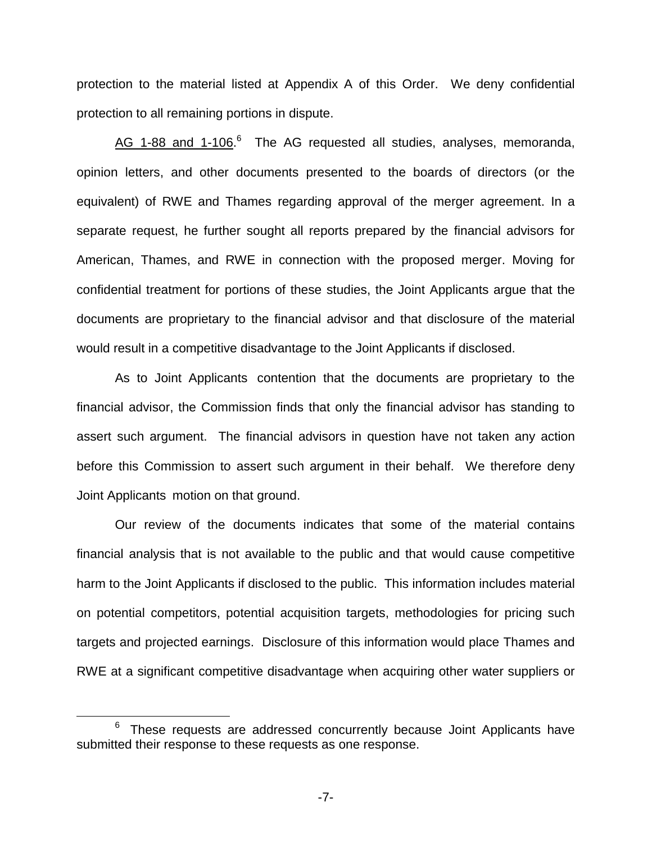protection to the material listed at Appendix A of this Order. We deny confidential protection to all remaining portions in dispute.

AG 1-88 and 1-106.<sup>6</sup> The AG requested all studies, analyses, memoranda, opinion letters, and other documents presented to the boards of directors (or the equivalent) of RWE and Thames regarding approval of the merger agreement. In a separate request, he further sought all reports prepared by the financial advisors for American, Thames, and RWE in connection with the proposed merger. Moving for confidential treatment for portions of these studies, the Joint Applicants argue that the documents are proprietary to the financial advisor and that disclosure of the material would result in a competitive disadvantage to the Joint Applicants if disclosed.

As to Joint Applicants contention that the documents are proprietary to the financial advisor, the Commission finds that only the financial advisor has standing to assert such argument. The financial advisors in question have not taken any action before this Commission to assert such argument in their behalf. We therefore deny Joint Applicants motion on that ground.

Our review of the documents indicates that some of the material contains financial analysis that is not available to the public and that would cause competitive harm to the Joint Applicants if disclosed to the public. This information includes material on potential competitors, potential acquisition targets, methodologies for pricing such targets and projected earnings. Disclosure of this information would place Thames and RWE at a significant competitive disadvantage when acquiring other water suppliers or

 $6$  These requests are addressed concurrently because Joint Applicants have submitted their response to these requests as one response.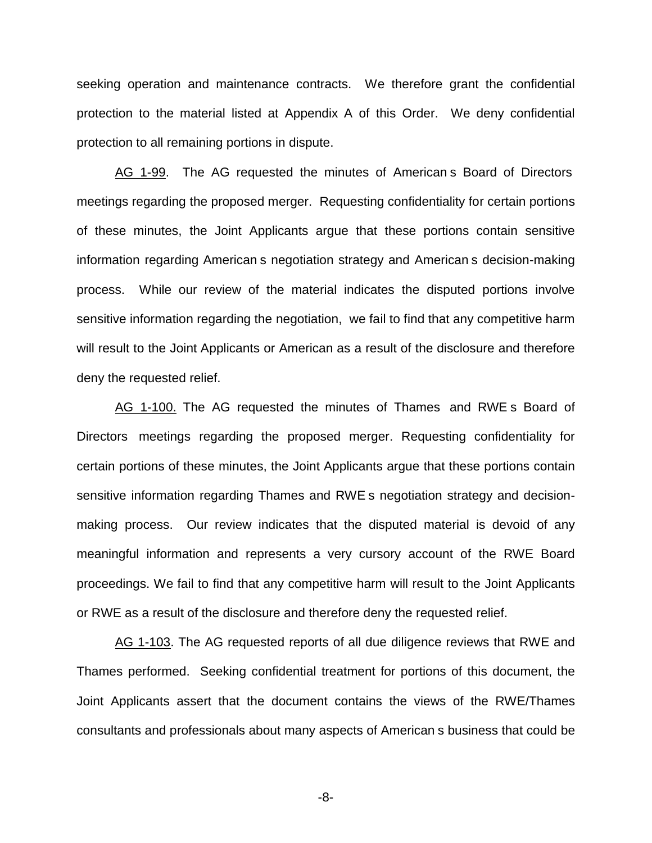seeking operation and maintenance contracts. We therefore grant the confidential protection to the material listed at Appendix A of this Order. We deny confidential protection to all remaining portions in dispute.

AG 1-99. The AG requested the minutes of American s Board of Directors meetings regarding the proposed merger. Requesting confidentiality for certain portions of these minutes, the Joint Applicants argue that these portions contain sensitive information regarding American s negotiation strategy and American s decision-making process. While our review of the material indicates the disputed portions involve sensitive information regarding the negotiation, we fail to find that any competitive harm will result to the Joint Applicants or American as a result of the disclosure and therefore deny the requested relief.

AG 1-100. The AG requested the minutes of Thames and RWE s Board of Directors meetings regarding the proposed merger. Requesting confidentiality for certain portions of these minutes, the Joint Applicants argue that these portions contain sensitive information regarding Thames and RWE s negotiation strategy and decisionmaking process. Our review indicates that the disputed material is devoid of any meaningful information and represents a very cursory account of the RWE Board proceedings. We fail to find that any competitive harm will result to the Joint Applicants or RWE as a result of the disclosure and therefore deny the requested relief.

AG 1-103. The AG requested reports of all due diligence reviews that RWE and Thames performed. Seeking confidential treatment for portions of this document, the Joint Applicants assert that the document contains the views of the RWE/Thames consultants and professionals about many aspects of American s business that could be

-8-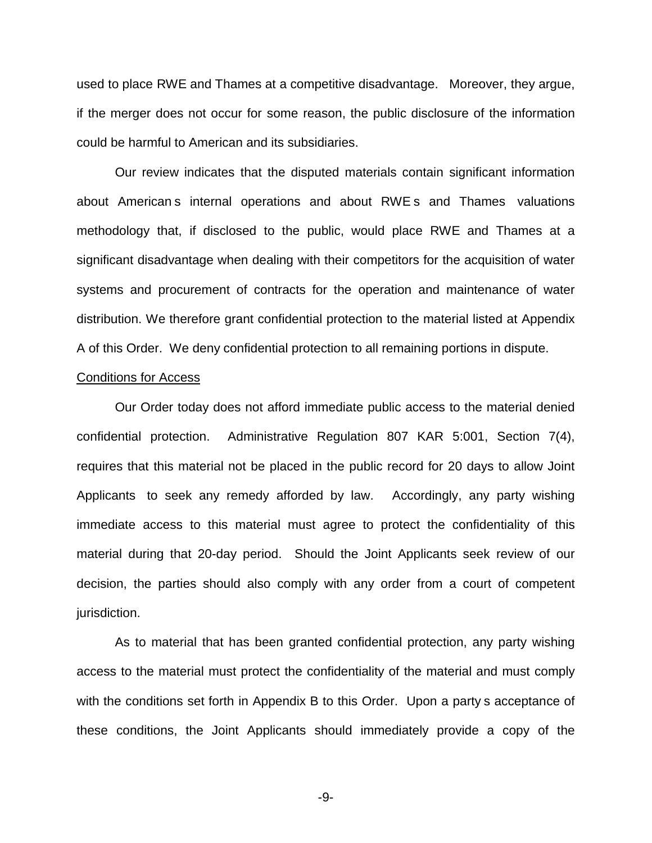used to place RWE and Thames at a competitive disadvantage. Moreover, they argue, if the merger does not occur for some reason, the public disclosure of the information could be harmful to American and its subsidiaries.

Our review indicates that the disputed materials contain significant information about American s internal operations and about RWE s and Thames valuations methodology that, if disclosed to the public, would place RWE and Thames at a significant disadvantage when dealing with their competitors for the acquisition of water systems and procurement of contracts for the operation and maintenance of water distribution. We therefore grant confidential protection to the material listed at Appendix A of this Order. We deny confidential protection to all remaining portions in dispute.

#### Conditions for Access

Our Order today does not afford immediate public access to the material denied confidential protection. Administrative Regulation 807 KAR 5:001, Section 7(4), requires that this material not be placed in the public record for 20 days to allow Joint Applicants to seek any remedy afforded by law. Accordingly, any party wishing immediate access to this material must agree to protect the confidentiality of this material during that 20-day period. Should the Joint Applicants seek review of our decision, the parties should also comply with any order from a court of competent jurisdiction.

As to material that has been granted confidential protection, any party wishing access to the material must protect the confidentiality of the material and must comply with the conditions set forth in Appendix B to this Order. Upon a party s acceptance of these conditions, the Joint Applicants should immediately provide a copy of the

-9-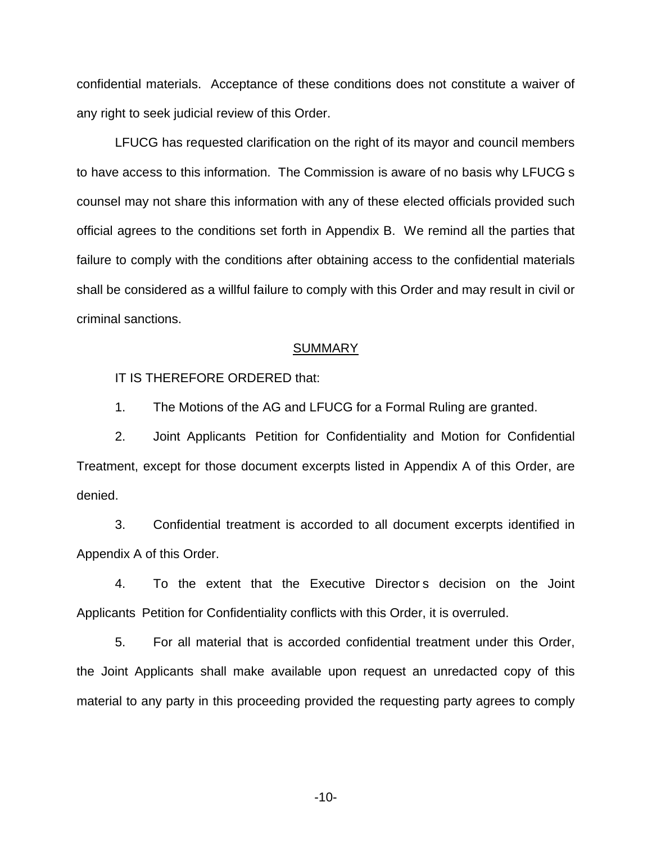confidential materials. Acceptance of these conditions does not constitute a waiver of any right to seek judicial review of this Order.

LFUCG has requested clarification on the right of its mayor and council members to have access to this information. The Commission is aware of no basis why LFUCG s counsel may not share this information with any of these elected officials provided such official agrees to the conditions set forth in Appendix B. We remind all the parties that failure to comply with the conditions after obtaining access to the confidential materials shall be considered as a willful failure to comply with this Order and may result in civil or criminal sanctions.

#### **SUMMARY**

IT IS THEREFORE ORDERED that:

1. The Motions of the AG and LFUCG for a Formal Ruling are granted.

2. Joint Applicants Petition for Confidentiality and Motion for Confidential Treatment, except for those document excerpts listed in Appendix A of this Order, are denied.

3. Confidential treatment is accorded to all document excerpts identified in Appendix A of this Order.

4. To the extent that the Executive Director s decision on the Joint Applicants Petition for Confidentiality conflicts with this Order, it is overruled.

5. For all material that is accorded confidential treatment under this Order, the Joint Applicants shall make available upon request an unredacted copy of this material to any party in this proceeding provided the requesting party agrees to comply

-10-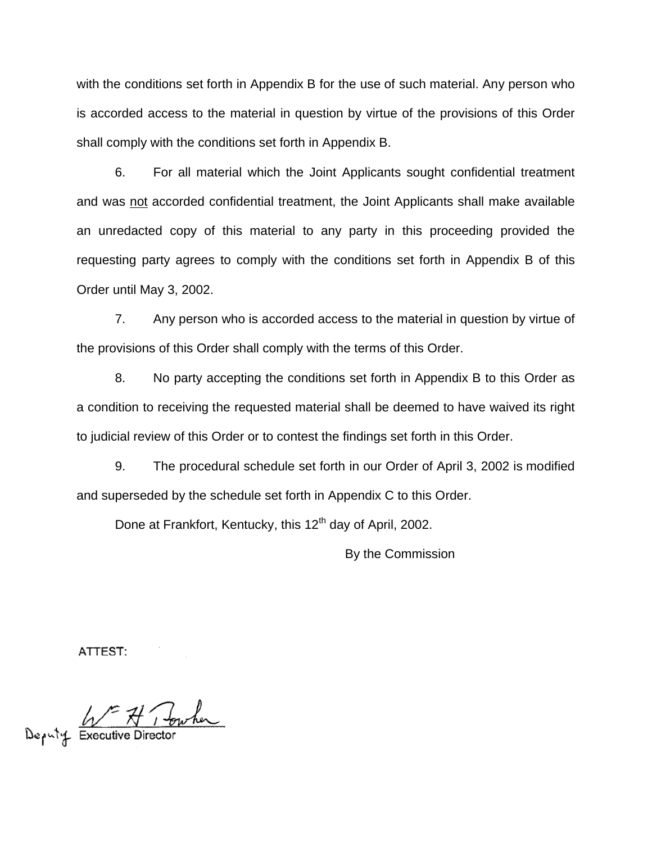with the conditions set forth in Appendix B for the use of such material. Any person who is accorded access to the material in question by virtue of the provisions of this Order shall comply with the conditions set forth in Appendix B.

6. For all material which the Joint Applicants sought confidential treatment and was not accorded confidential treatment, the Joint Applicants shall make available an unredacted copy of this material to any party in this proceeding provided the requesting party agrees to comply with the conditions set forth in Appendix B of this Order until May 3, 2002.

7. Any person who is accorded access to the material in question by virtue of the provisions of this Order shall comply with the terms of this Order.

8. No party accepting the conditions set forth in Appendix B to this Order as a condition to receiving the requested material shall be deemed to have waived its right to judicial review of this Order or to contest the findings set forth in this Order.

9. The procedural schedule set forth in our Order of April 3, 2002 is modified and superseded by the schedule set forth in Appendix C to this Order.

Done at Frankfort, Kentucky, this 12<sup>th</sup> day of April, 2002.

By the Commission

ATTEST:

Deputy Executive Director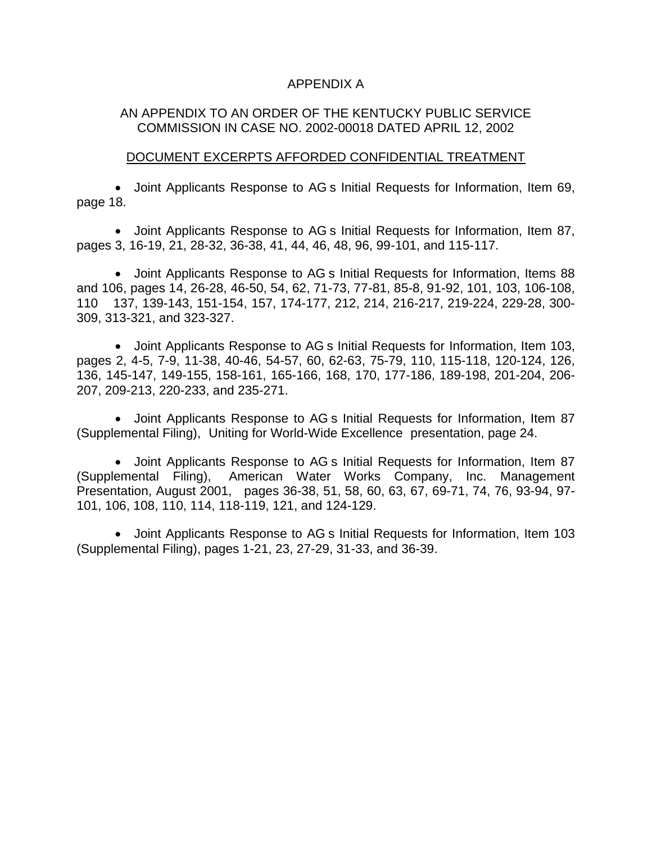### APPENDIX A

## AN APPENDIX TO AN ORDER OF THE KENTUCKY PUBLIC SERVICE COMMISSION IN CASE NO. 2002-00018 DATED APRIL 12, 2002

### DOCUMENT EXCERPTS AFFORDED CONFIDENTIAL TREATMENT

● Joint Applicants Response to AG s Initial Requests for Information, Item 69, page 18.

∑ Joint Applicants Response to AG s Initial Requests for Information, Item 87, pages 3, 16-19, 21, 28-32, 36-38, 41, 44, 46, 48, 96, 99-101, and 115-117.

■ Joint Applicants Response to AG s Initial Requests for Information, Items 88 and 106, pages 14, 26-28, 46-50, 54, 62, 71-73, 77-81, 85-8, 91-92, 101, 103, 106-108, 110 137, 139-143, 151-154, 157, 174-177, 212, 214, 216-217, 219-224, 229-28, 300- 309, 313-321, and 323-327.

∑ Joint Applicants Response to AG s Initial Requests for Information, Item 103, pages 2, 4-5, 7-9, 11-38, 40-46, 54-57, 60, 62-63, 75-79, 110, 115-118, 120-124, 126, 136, 145-147, 149-155, 158-161, 165-166, 168, 170, 177-186, 189-198, 201-204, 206- 207, 209-213, 220-233, and 235-271.

■ Joint Applicants Response to AG s Initial Requests for Information, Item 87 (Supplemental Filing), Uniting for World-Wide Excellence presentation, page 24.

■ Joint Applicants Response to AG s Initial Requests for Information, Item 87 (Supplemental Filing), American Water Works Company, Inc. Management Presentation, August 2001, pages 36-38, 51, 58, 60, 63, 67, 69-71, 74, 76, 93-94, 97- 101, 106, 108, 110, 114, 118-119, 121, and 124-129.

∑ Joint Applicants Response to AG s Initial Requests for Information, Item 103 (Supplemental Filing), pages 1-21, 23, 27-29, 31-33, and 36-39.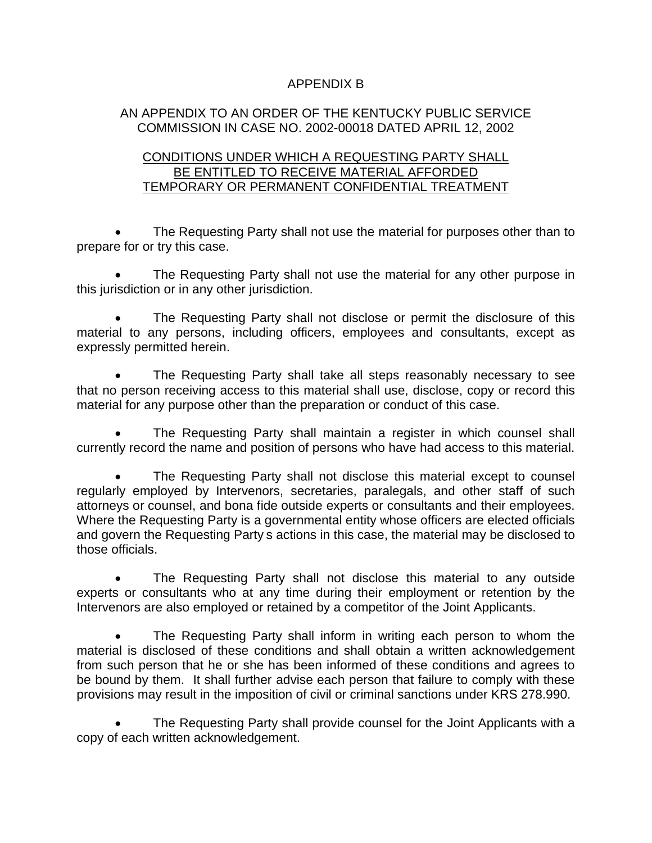## APPENDIX B

## AN APPENDIX TO AN ORDER OF THE KENTUCKY PUBLIC SERVICE COMMISSION IN CASE NO. 2002-00018 DATED APRIL 12, 2002

## CONDITIONS UNDER WHICH A REQUESTING PARTY SHALL BE ENTITLED TO RECEIVE MATERIAL AFFORDED TEMPORARY OR PERMANENT CONFIDENTIAL TREATMENT

The Requesting Party shall not use the material for purposes other than to prepare for or try this case.

The Requesting Party shall not use the material for any other purpose in this jurisdiction or in any other jurisdiction.

The Requesting Party shall not disclose or permit the disclosure of this material to any persons, including officers, employees and consultants, except as expressly permitted herein.

∑ The Requesting Party shall take all steps reasonably necessary to see that no person receiving access to this material shall use, disclose, copy or record this material for any purpose other than the preparation or conduct of this case.

The Requesting Party shall maintain a register in which counsel shall currently record the name and position of persons who have had access to this material.

∑ The Requesting Party shall not disclose this material except to counsel regularly employed by Intervenors, secretaries, paralegals, and other staff of such attorneys or counsel, and bona fide outside experts or consultants and their employees. Where the Requesting Party is a governmental entity whose officers are elected officials and govern the Requesting Party s actions in this case, the material may be disclosed to those officials.

The Requesting Party shall not disclose this material to any outside experts or consultants who at any time during their employment or retention by the Intervenors are also employed or retained by a competitor of the Joint Applicants.

The Requesting Party shall inform in writing each person to whom the material is disclosed of these conditions and shall obtain a written acknowledgement from such person that he or she has been informed of these conditions and agrees to be bound by them. It shall further advise each person that failure to comply with these provisions may result in the imposition of civil or criminal sanctions under KRS 278.990.

The Requesting Party shall provide counsel for the Joint Applicants with a copy of each written acknowledgement.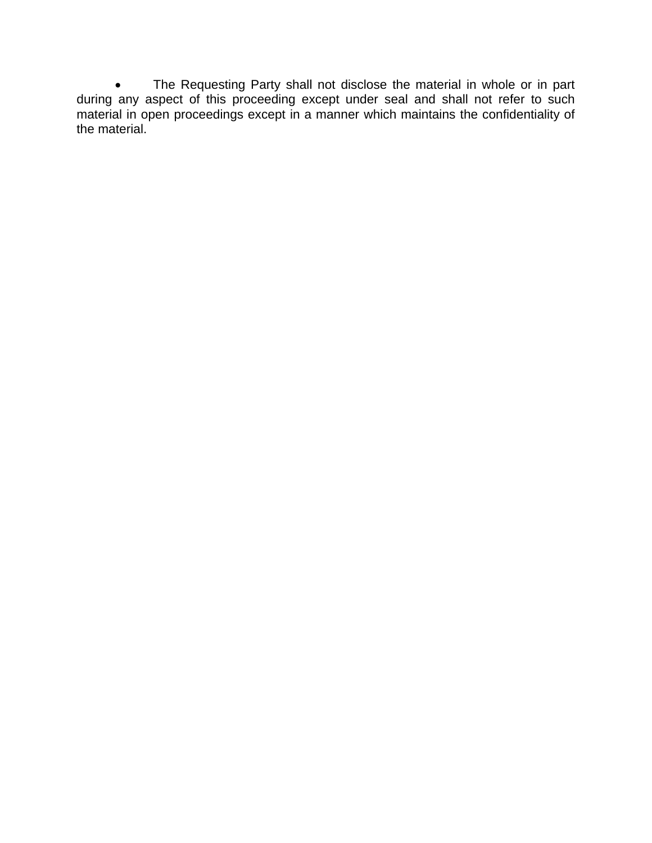• The Requesting Party shall not disclose the material in whole or in part during any aspect of this proceeding except under seal and shall not refer to such material in open proceedings except in a manner which maintains the confidentiality of the material.